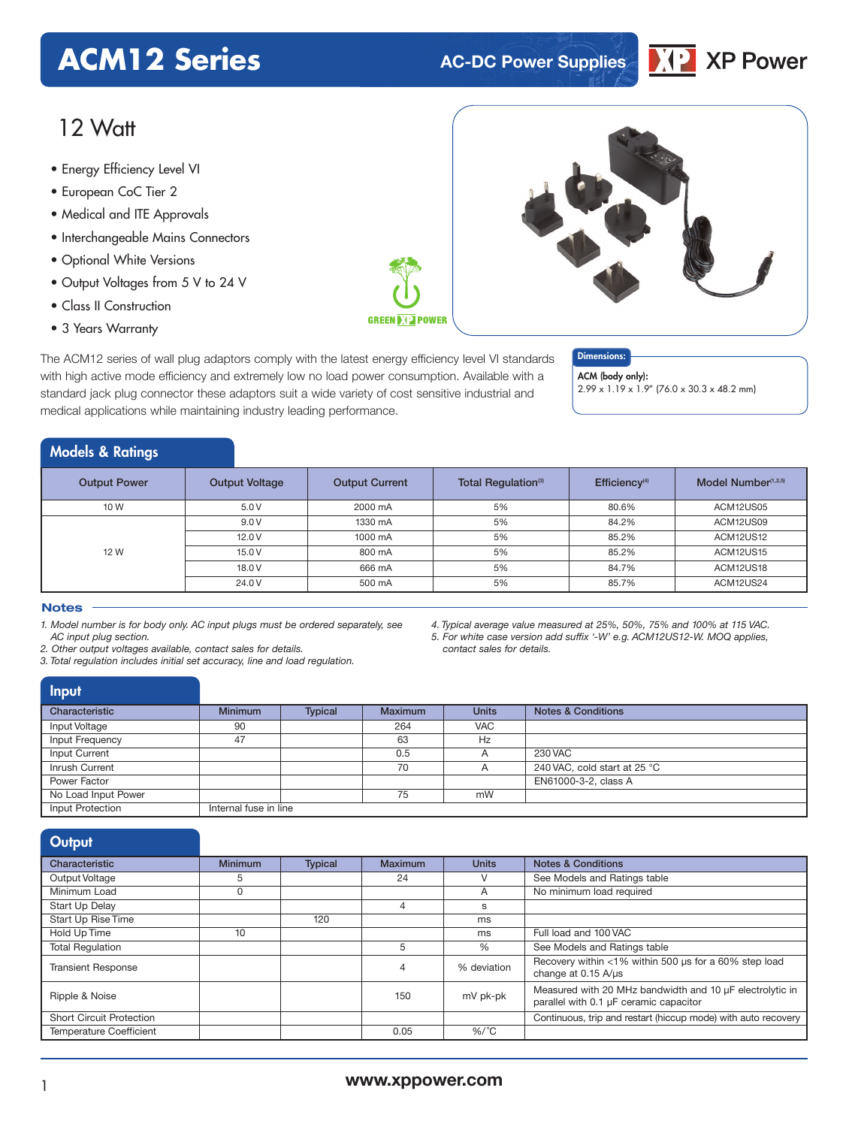# **ACM12 Series AC-DC Power Supplies**



# 12 Watt

- **xxx Series** Energy Efficiency Level VI
- European CoC Tier 2
- Medical and ITE Approvals
- Interchangeable Mains Connectors
- Optional White Versions
- Output Voltages from 5 V to 24 V
- Class II Construction
- 3 Years Warranty

**GREEN DIE POWER** 

The ACM12 series of wall plug adaptors comply with the latest energy efficiency level VI standards with high active mode efficiency and extremely low no load power consumption. Available with a standard jack plug connector these adaptors suit a wide variety of cost sensitive industrial and medical applications while maintaining industry leading performance.

### Dimensions:

ACM (body only):

2.99 x 1.19 x 1.9" (76.0 x 30.3 x 48.2 mm)

# Models & Ratings

| <b>Output Power</b> | <b>Output Voltage</b> | <b>Output Current</b> | Total Regulation <sup>(3)</sup> | Efficiency <sup>(4)</sup> | Model Number <sup>(1,2,5)</sup> |
|---------------------|-----------------------|-----------------------|---------------------------------|---------------------------|---------------------------------|
| 10 W                | 5.0V                  | 2000 mA               | 5%                              | 80.6%                     | ACM12US05                       |
| 12 W                | 9.0V                  | 1330 mA               | 5%                              | 84.2%                     | ACM12US09                       |
|                     | 12.0V                 | 1000 mA               | 5%                              | 85.2%                     | ACM12US12                       |
|                     | 15.0 V                | 800 mA                | 5%                              | 85.2%                     | ACM12US15                       |
|                     | 18.0 V                | 666 mA                | 5%                              | 84.7%                     | ACM12US18                       |
|                     | 24.0 V                | 500 mA                | 5%                              | 85.7%                     | ACM12US24                       |

#### **Notes**

*1. Model number is for body only. AC input plugs must be ordered separately, see AC input plug section.*

*2. Other output voltages available, contact sales for details.*

*3. Total regulation includes initial set accuracy, line and load regulation.*

*4. Typical average value measured at 25%, 50%, 75% and 100% at 115 VAC. 5. For white case version add suffix '-W' e.g. ACM12US12-W. MOQ applies, contact sales for details.*

# Input

| Characteristic      | <b>Minimum</b>        | <b>Typical</b> | <b>Maximum</b> | <b>Units</b> | <b>Notes &amp; Conditions</b> |
|---------------------|-----------------------|----------------|----------------|--------------|-------------------------------|
| Input Voltage       | 90                    |                | 264            | <b>VAC</b>   |                               |
| Input Frequency     | 47                    |                | 63             | Hz           |                               |
| Input Current       |                       |                | 0.5            |              | 230 VAC                       |
| Inrush Current      |                       |                | 70             |              | 240 VAC, cold start at 25 °C  |
| Power Factor        |                       |                |                |              | EN61000-3-2, class A          |
| No Load Input Power |                       |                | 75             | mW           |                               |
| Input Protection    | Internal fuse in line |                |                |              |                               |

| Output                          |                |                |         |              |                                                                                                    |
|---------------------------------|----------------|----------------|---------|--------------|----------------------------------------------------------------------------------------------------|
| Characteristic                  | <b>Minimum</b> | <b>Typical</b> | Maximum | <b>Units</b> | <b>Notes &amp; Conditions</b>                                                                      |
| Output Voltage                  | 5              |                | 24      | v            | See Models and Ratings table                                                                       |
| Minimum Load                    | 0              |                |         | A            | No minimum load required                                                                           |
| <b>Start Up Delay</b>           |                |                | 4       | s            |                                                                                                    |
| Start Up Rise Time              |                | 120            |         | ms           |                                                                                                    |
| Hold Up Time                    | 10             |                |         | ms           | Full load and 100 VAC                                                                              |
| <b>Total Regulation</b>         |                |                | 5       | %            | See Models and Ratings table                                                                       |
| <b>Transient Response</b>       |                |                | 4       | % deviation  | Recovery within <1% within 500 us for a 60% step load<br>change at 0.15 A/us                       |
| Ripple & Noise                  |                |                | 150     | mV pk-pk     | Measured with 20 MHz bandwidth and 10 µF electrolytic in<br>parallel with 0.1 µF ceramic capacitor |
| <b>Short Circuit Protection</b> |                |                |         |              | Continuous, trip and restart (hiccup mode) with auto recovery                                      |
| <b>Temperature Coefficient</b>  |                |                | 0.05    | $%$ /°C      |                                                                                                    |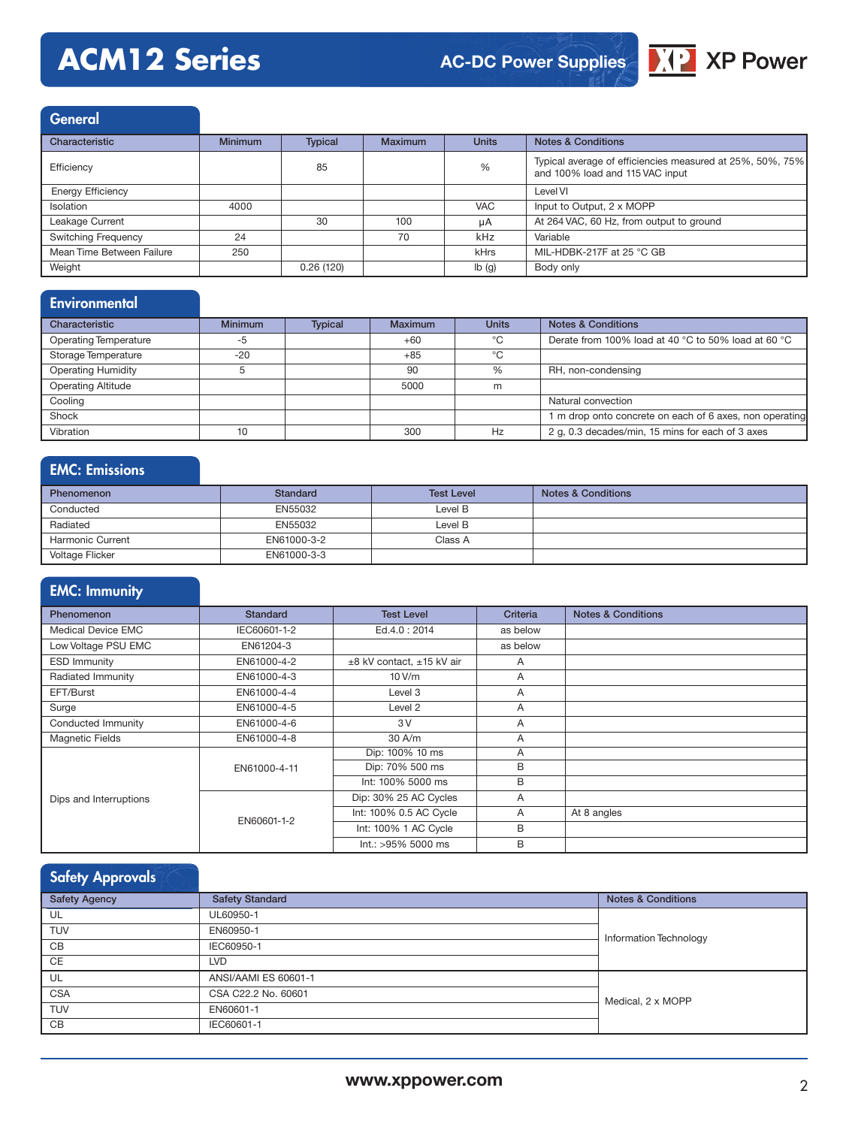# **ACM12 Series**

# **AC-DC Power Supplies**



**General** 

| Characteristic             | <b>Minimum</b> | <b>Typical</b> | <b>Maximum</b> | <b>Units</b> | <b>Notes &amp; Conditions</b>                                                                |
|----------------------------|----------------|----------------|----------------|--------------|----------------------------------------------------------------------------------------------|
| Efficiency                 |                | 85             |                | %            | Typical average of efficiencies measured at 25%, 50%, 75%<br>and 100% load and 115 VAC input |
| <b>Energy Efficiency</b>   |                |                |                |              | Level VI                                                                                     |
| <b>Isolation</b>           | 4000           |                |                | <b>VAC</b>   | Input to Output, 2 x MOPP                                                                    |
| Leakage Current            |                | 30             | 100            | uA           | At 264 VAC, 60 Hz, from output to ground                                                     |
| <b>Switching Frequency</b> | 24             |                | 70             | kHz          | Variable                                                                                     |
| Mean Time Between Failure  | 250            |                |                | kHrs         | MIL-HDBK-217F at 25 °C GB                                                                    |
| Weight                     |                | 0.26(120)      |                | Ib(g)        | Body only                                                                                    |

## **Environmental**

| Characteristic               | <b>Minimum</b> | <b>Typical</b> | Maximum | <b>Units</b> | <b>Notes &amp; Conditions</b>                           |
|------------------------------|----------------|----------------|---------|--------------|---------------------------------------------------------|
| <b>Operating Temperature</b> | -5             |                | $+60$   | °C           | Derate from 100% load at 40 °C to 50% load at 60 °C     |
| Storage Temperature          | $-20$          |                | $+85$   | °C           |                                                         |
| <b>Operating Humidity</b>    |                |                | 90      | %            | RH, non-condensing                                      |
| <b>Operating Altitude</b>    |                |                | 5000    | m            |                                                         |
| Cooling                      |                |                |         |              | Natural convection                                      |
| Shock                        |                |                |         |              | 1 m drop onto concrete on each of 6 axes, non operating |
| Vibration                    | 10             |                | 300     | Hz           | 2 g, 0.3 decades/min, 15 mins for each of 3 axes        |

# EMC: Emissions

| <b>Phenomenon</b>       | <b>Standard</b> | <b>Test Level</b> | <b>Notes &amp; Conditions</b> |
|-------------------------|-----------------|-------------------|-------------------------------|
| Conducted               | EN55032         | Level B           |                               |
| Radiated                | EN55032         | Level B           |                               |
| <b>Harmonic Current</b> | EN61000-3-2     | Class A           |                               |
| Voltage Flicker         | EN61000-3-3     |                   |                               |

# EMC: Immunity

| <b>Phenomenon</b>      | <b>Standard</b> | <b>Test Level</b>         | Criteria     | <b>Notes &amp; Conditions</b> |
|------------------------|-----------------|---------------------------|--------------|-------------------------------|
| Medical Device EMC     | IEC60601-1-2    | Ed.4.0: 2014              | as below     |                               |
| Low Voltage PSU EMC    | EN61204-3       |                           | as below     |                               |
| <b>ESD Immunity</b>    | EN61000-4-2     | ±8 kV contact, ±15 kV air | A            |                               |
| Radiated Immunity      | EN61000-4-3     | 10 V/m                    | $\mathsf{A}$ |                               |
| EFT/Burst              | EN61000-4-4     | Level 3                   | A            |                               |
| Surge                  | EN61000-4-5     | Level 2                   | A            |                               |
| Conducted Immunity     | EN61000-4-6     | 3V                        | A            |                               |
| <b>Magnetic Fields</b> | EN61000-4-8     | 30 A/m                    | A            |                               |
|                        |                 | Dip: 100% 10 ms           | A            |                               |
|                        | EN61000-4-11    | Dip: 70% 500 ms           | B            |                               |
|                        |                 | Int: 100% 5000 ms         | B            |                               |
| Dips and Interruptions | EN60601-1-2     | Dip: 30% 25 AC Cycles     | A            |                               |
|                        |                 | Int: 100% 0.5 AC Cycle    | A            | At 8 angles                   |
|                        |                 | Int: 100% 1 AC Cycle      | B            |                               |
|                        |                 | Int.: >95% 5000 ms        | B            |                               |

# Safety Approvals

| <b>Safety Agency</b> | <b>Safety Standard</b> | <b>Notes &amp; Conditions</b> |  |  |
|----------------------|------------------------|-------------------------------|--|--|
| UL                   | UL60950-1              |                               |  |  |
| <b>TUV</b>           | EN60950-1              | Information Technology        |  |  |
| CB                   | IEC60950-1             |                               |  |  |
| CE                   | <b>LVD</b>             |                               |  |  |
| UL                   | ANSI/AAMI ES 60601-1   |                               |  |  |
| <b>CSA</b>           | CSA C22.2 No. 60601    | Medical, 2 x MOPP             |  |  |
| <b>TUV</b>           | EN60601-1              |                               |  |  |
| CB                   | IEC60601-1             |                               |  |  |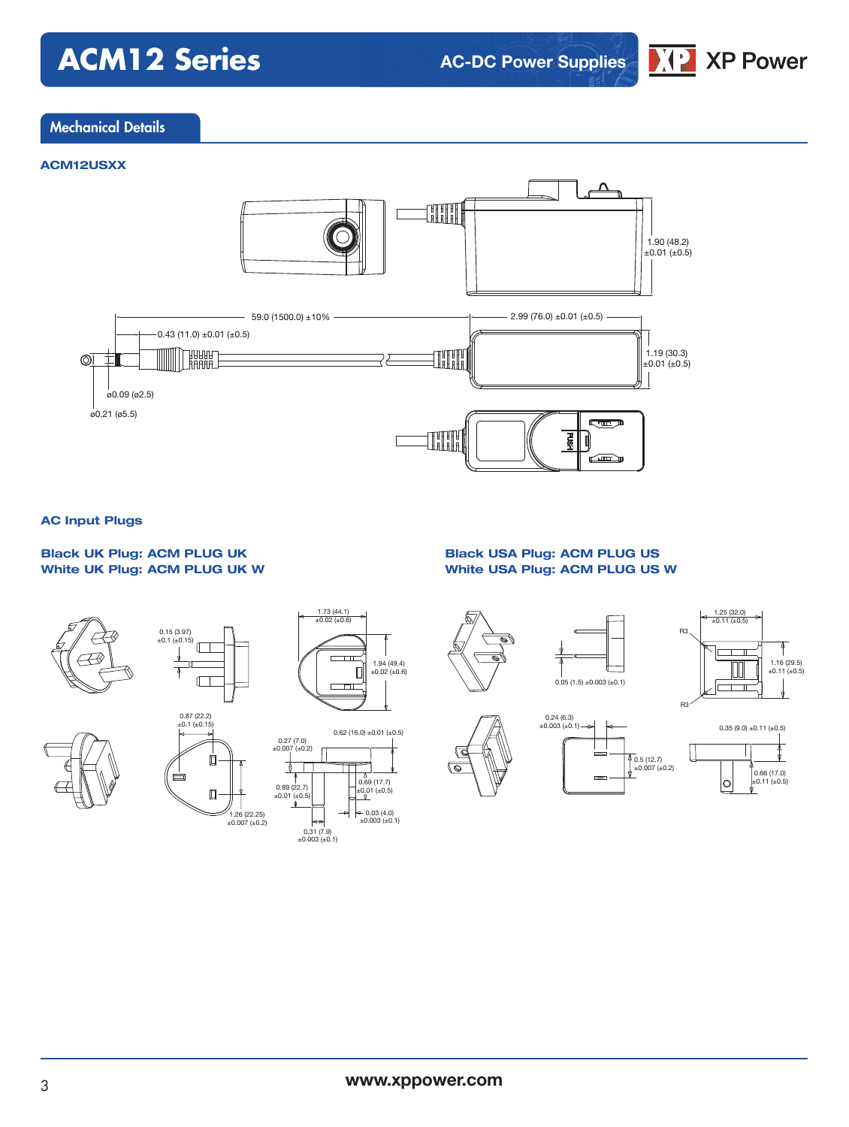# **ACM12 Series**

**AC-DC Power Supplies**



### Mechanical Details

#### **ACM12USXX**



#### **AC Input Plugs**

### **Black UK Plug: ACM PLUG UK White UK Plug: ACM PLUG UK W**

#### **Black USA Plug: ACM PLUG US White USA Plug: ACM PLUG US W**





0.66 (17.0) ±0.11 (±0.5)

 $\circ$